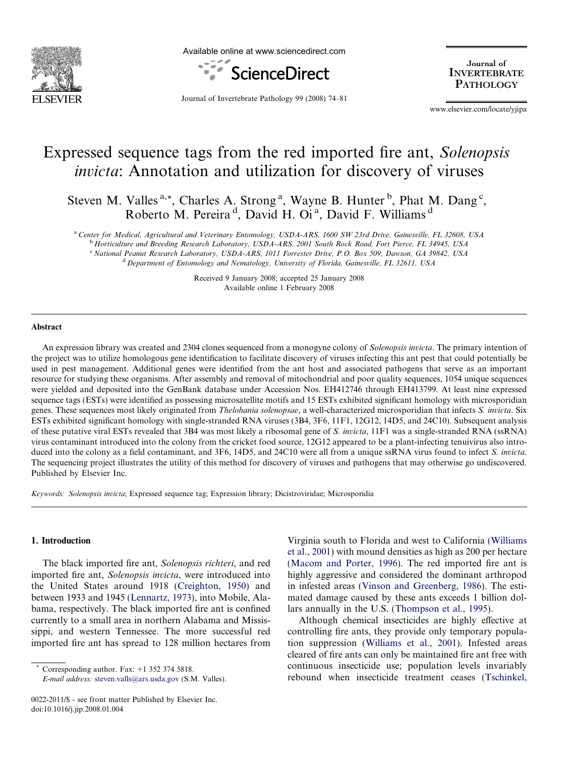

Available online at www.sciencedirect.com



Journal of **INVERTEBRATE PATHOLOGY** 

Journal of Invertebrate Pathology 99 (2008) 74–81

www.elsevier.com/locate/yjipa

# Expressed sequence tags from the red imported fire ant, Solenopsis invicta: Annotation and utilization for discovery of viruses

Steven M. Valles<sup>a,\*</sup>, Charles A. Strong<sup>a</sup>, Wayne B. Hunter<sup>b</sup>, Phat M. Dang<sup>c</sup>, Roberto M. Pereira<sup>d</sup>, David H. Oi<sup>a</sup>, David F. Williams<sup>d</sup>

a Center for Medical, Agricultural and Veterinary Entomology, USDA-ARS, 1600 SW 23rd Drive, Gainesville, FL 32608, USA

<sup>b</sup> Horticulture and Breeding Research Laboratory, USDA-ARS, 2001 South Rock Road, Fort Pierce, FL 34945, USA <sup>c</sup> National Peanut Research Laboratory, USDA-ARS, 1011 Forrester Drive, P.O. Box 509, Dawson, GA 39842, USA

<sup>d</sup> Department of Entomology and Nematology, University of Florida, Gainesville, FL 32611, USA

Received 9 January 2008; accepted 25 January 2008 Available online 1 February 2008

#### **Abstract**

An expression library was created and 2304 clones sequenced from a monogyne colony of Solenopsis invicta. The primary intention of the project was to utilize homologous gene identification to facilitate discovery of viruses infecting this ant pest that could potentially be used in pest management. Additional genes were identified from the ant host and associated pathogens that serve as an important resource for studying these organisms. After assembly and removal of mitochondrial and poor quality sequences, 1054 unique sequences were yielded and deposited into the GenBank database under Accession Nos. EH412746 through EH413799. At least nine expressed sequence tags (ESTs) were identified as possessing microsatellite motifs and 15 ESTs exhibited significant homology with microsporidian genes. These sequences most likely originated from Thelohania solenopsae, a well-characterized microsporidian that infects S. invicta. Six ESTs exhibited significant homology with single-stranded RNA viruses (3B4, 3F6, 11F1, 12G12, 14D5, and 24C10). Subsequent analysis of these putative viral ESTs revealed that 3B4 was most likely a ribosomal gene of S. invicta, 11F1 was a single-stranded RNA (ssRNA) virus contaminant introduced into the colony from the cricket food source, 12G12 appeared to be a plant-infecting tenuivirus also introduced into the colony as a field contaminant, and 3F6, 14D5, and 24C10 were all from a unique ssRNA virus found to infect S. invicta. The sequencing project illustrates the utility of this method for discovery of viruses and pathogens that may otherwise go undiscovered. Published by Elsevier Inc.

Keywords: Solenopsis invicta; Expressed sequence tag; Expression library; Dicistroviridae; Microsporidia

#### 1. Introduction

The black imported fire ant, Solenopsis richteri, and red imported fire ant, Solenopsis invicta, were introduced into the United States around 1918 [\(Creighton, 1950](#page-6-0)) and between 1933 and 1945 ([Lennartz, 1973\)](#page-6-0), into Mobile, Alabama, respectively. The black imported fire ant is confined currently to a small area in northern Alabama and Mississippi, and western Tennessee. The more successful red imported fire ant has spread to 128 million hectares from

Corresponding author. Fax:  $+1$  352 374 5818.

E-mail address: [steven.valls@ars.usda.gov](mailto:steven.valls@ars.usda.gov) (S.M. Valles).

Virginia south to Florida and west to California [\(Williams](#page-7-0) [et al., 2001](#page-7-0)) with mound densities as high as 200 per hectare [\(Macom and Porter, 1996\)](#page-6-0). The red imported fire ant is highly aggressive and considered the dominant arthropod in infested areas ([Vinson and Greenberg, 1986](#page-7-0)). The estimated damage caused by these ants exceeds 1 billion dollars annually in the U.S. [\(Thompson et al., 1995](#page-6-0)).

Although chemical insecticides are highly effective at controlling fire ants, they provide only temporary population suppression ([Williams et al., 2001](#page-7-0)). Infested areas cleared of fire ants can only be maintained fire ant free with continuous insecticide use; population levels invariably rebound when insecticide treatment ceases ([Tschinkel,](#page-6-0)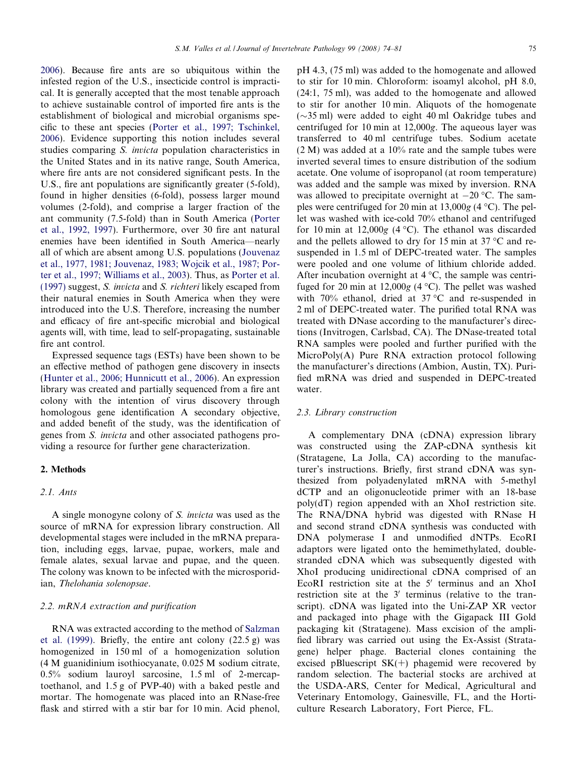[2006](#page-6-0)). Because fire ants are so ubiquitous within the infested region of the U.S., insecticide control is impractical. It is generally accepted that the most tenable approach to achieve sustainable control of imported fire ants is the establishment of biological and microbial organisms specific to these ant species [\(Porter et al., 1997; Tschinkel,](#page-6-0) [2006](#page-6-0)). Evidence supporting this notion includes several studies comparing S. invicta population characteristics in the United States and in its native range, South America, where fire ants are not considered significant pests. In the U.S., fire ant populations are significantly greater (5-fold), found in higher densities (6-fold), possess larger mound volumes (2-fold), and comprise a larger fraction of the ant community (7.5-fold) than in South America ([Porter](#page-6-0) [et al., 1992, 1997](#page-6-0)). Furthermore, over 30 fire ant natural enemies have been identified in South America—nearly all of which are absent among U.S. populations ([Jouvenaz](#page-6-0) [et al., 1977, 1981; Jouvenaz, 1983; Wojcik et al., 1987; Por](#page-6-0)[ter et al., 1997; Williams et al., 2003\)](#page-6-0). Thus, as [Porter et al.](#page-6-0) [\(1997\)](#page-6-0) suggest, S. invicta and S. richteri likely escaped from their natural enemies in South America when they were introduced into the U.S. Therefore, increasing the number and efficacy of fire ant-specific microbial and biological agents will, with time, lead to self-propagating, sustainable fire ant control.

Expressed sequence tags (ESTs) have been shown to be an effective method of pathogen gene discovery in insects ([Hunter et al., 2006; Hunnicutt et al., 2006](#page-6-0)). An expression library was created and partially sequenced from a fire ant colony with the intention of virus discovery through homologous gene identification A secondary objective, and added benefit of the study, was the identification of genes from S. invicta and other associated pathogens providing a resource for further gene characterization.

## 2. Methods

# 2.1. Ants

A single monogyne colony of S. invicta was used as the source of mRNA for expression library construction. All developmental stages were included in the mRNA preparation, including eggs, larvae, pupae, workers, male and female alates, sexual larvae and pupae, and the queen. The colony was known to be infected with the microsporidian, Thelohania solenopsae.

# 2.2. mRNA extraction and purification

RNA was extracted according to the method of [Salzman](#page-6-0) [et al. \(1999\)](#page-6-0). Briefly, the entire ant colony (22.5 g) was homogenized in 150 ml of a homogenization solution (4 M guanidinium isothiocyanate, 0.025 M sodium citrate, 0.5% sodium lauroyl sarcosine, 1.5 ml of 2-mercaptoethanol, and 1.5 g of PVP-40) with a baked pestle and mortar. The homogenate was placed into an RNase-free flask and stirred with a stir bar for 10 min. Acid phenol, pH 4.3, (75 ml) was added to the homogenate and allowed to stir for 10 min. Chloroform: isoamyl alcohol, pH 8.0, (24:1, 75 ml), was added to the homogenate and allowed to stir for another 10 min. Aliquots of the homogenate  $(\sim 35 \text{ ml})$  were added to eight 40 ml Oakridge tubes and centrifuged for 10 min at 12,000g. The aqueous layer was transferred to 40 ml centrifuge tubes. Sodium acetate (2 M) was added at a 10% rate and the sample tubes were inverted several times to ensure distribution of the sodium acetate. One volume of isopropanol (at room temperature) was added and the sample was mixed by inversion. RNA was allowed to precipitate overnight at  $-20$  °C. The samples were centrifuged for 20 min at  $13,000g$  (4 °C). The pellet was washed with ice-cold 70% ethanol and centrifuged for 10 min at 12,000g (4 °C). The ethanol was discarded and the pellets allowed to dry for 15 min at 37  $\rm{^{\circ}C}$  and resuspended in 1.5 ml of DEPC-treated water. The samples were pooled and one volume of lithium chloride added. After incubation overnight at  $4^{\circ}C$ , the sample was centrifuged for 20 min at  $12,000g$  (4 °C). The pellet was washed with 70% ethanol, dried at 37 °C and re-suspended in 2 ml of DEPC-treated water. The purified total RNA was treated with DNase according to the manufacturer's directions (Invitrogen, Carlsbad, CA). The DNase-treated total RNA samples were pooled and further purified with the MicroPoly(A) Pure RNA extraction protocol following the manufacturer's directions (Ambion, Austin, TX). Purified mRNA was dried and suspended in DEPC-treated water.

# 2.3. Library construction

A complementary DNA (cDNA) expression library was constructed using the ZAP-cDNA synthesis kit (Stratagene, La Jolla, CA) according to the manufacturer's instructions. Briefly, first strand cDNA was synthesized from polyadenylated mRNA with 5-methyl dCTP and an oligonucleotide primer with an 18-base poly(dT) region appended with an XhoI restriction site. The RNA/DNA hybrid was digested with RNase H and second strand cDNA synthesis was conducted with DNA polymerase I and unmodified dNTPs. EcoRI adaptors were ligated onto the hemimethylated, doublestranded cDNA which was subsequently digested with XhoI producing unidirectional cDNA comprised of an EcoRI restriction site at the  $5'$  terminus and an XhoI restriction site at the  $3'$  terminus (relative to the transcript). cDNA was ligated into the Uni-ZAP XR vector and packaged into phage with the Gigapack III Gold packaging kit (Stratagene). Mass excision of the amplified library was carried out using the Ex-Assist (Stratagene) helper phage. Bacterial clones containing the excised pBluescript  $SK(+)$  phagemid were recovered by random selection. The bacterial stocks are archived at the USDA-ARS, Center for Medical, Agricultural and Veterinary Entomology, Gainesville, FL, and the Horticulture Research Laboratory, Fort Pierce, FL.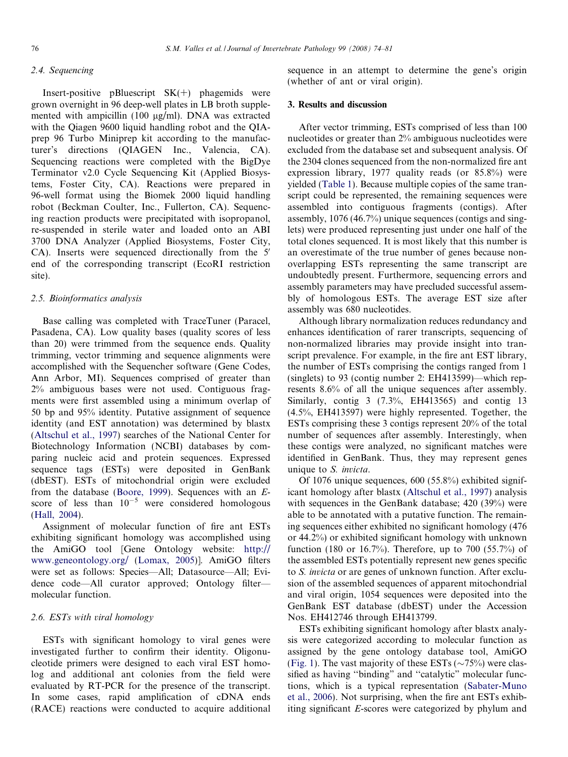# 2.4. Sequencing

Insert-positive pBluescript  $SK(+)$  phagemids were grown overnight in 96 deep-well plates in LB broth supplemented with ampicillin  $(100 \text{ ue/ml})$ . DNA was extracted with the Qiagen 9600 liquid handling robot and the QIAprep 96 Turbo Miniprep kit according to the manufacturer's directions (QIAGEN Inc., Valencia, CA). Sequencing reactions were completed with the BigDye Terminator v2.0 Cycle Sequencing Kit (Applied Biosystems, Foster City, CA). Reactions were prepared in 96-well format using the Biomek 2000 liquid handling robot (Beckman Coulter, Inc., Fullerton, CA). Sequencing reaction products were precipitated with isopropanol, re-suspended in sterile water and loaded onto an ABI 3700 DNA Analyzer (Applied Biosystems, Foster City, CA). Inserts were sequenced directionally from the 5' end of the corresponding transcript (EcoRI restriction site).

## 2.5. Bioinformatics analysis

Base calling was completed with TraceTuner (Paracel, Pasadena, CA). Low quality bases (quality scores of less than 20) were trimmed from the sequence ends. Quality trimming, vector trimming and sequence alignments were accomplished with the Sequencher software (Gene Codes, Ann Arbor, MI). Sequences comprised of greater than 2% ambiguous bases were not used. Contiguous fragments were first assembled using a minimum overlap of 50 bp and 95% identity. Putative assignment of sequence identity (and EST annotation) was determined by blastx [\(Altschul et al., 1997\)](#page-6-0) searches of the National Center for Biotechnology Information (NCBI) databases by comparing nucleic acid and protein sequences. Expressed sequence tags (ESTs) were deposited in GenBank (dbEST). ESTs of mitochondrial origin were excluded from the database [\(Boore, 1999\)](#page-6-0). Sequences with an Escore of less than  $10^{-5}$  were considered homologous [\(Hall, 2004\)](#page-6-0).

Assignment of molecular function of fire ant ESTs exhibiting significant homology was accomplished using the AmiGO tool [Gene Ontology website: [http://](http://www.geneontology.org/) [www.geneontology.org/](http://www.geneontology.org/) ([Lomax, 2005](#page-6-0))]. AmiGO filters were set as follows: Species—All; Datasource—All; Evidence code—All curator approved; Ontology filter molecular function.

# 2.6. ESTs with viral homology

ESTs with significant homology to viral genes were investigated further to confirm their identity. Oligonucleotide primers were designed to each viral EST homolog and additional ant colonies from the field were evaluated by RT-PCR for the presence of the transcript. In some cases, rapid amplification of cDNA ends (RACE) reactions were conducted to acquire additional sequence in an attempt to determine the gene's origin (whether of ant or viral origin).

#### 3. Results and discussion

After vector trimming, ESTs comprised of less than 100 nucleotides or greater than 2% ambiguous nucleotides were excluded from the database set and subsequent analysis. Of the 2304 clones sequenced from the non-normalized fire ant expression library, 1977 quality reads (or 85.8%) were yielded ([Table 1](#page-3-0)). Because multiple copies of the same transcript could be represented, the remaining sequences were assembled into contiguous fragments (contigs). After assembly, 1076 (46.7%) unique sequences (contigs and singlets) were produced representing just under one half of the total clones sequenced. It is most likely that this number is an overestimate of the true number of genes because nonoverlapping ESTs representing the same transcript are undoubtedly present. Furthermore, sequencing errors and assembly parameters may have precluded successful assembly of homologous ESTs. The average EST size after assembly was 680 nucleotides.

Although library normalization reduces redundancy and enhances identification of rarer transcripts, sequencing of non-normalized libraries may provide insight into transcript prevalence. For example, in the fire ant EST library, the number of ESTs comprising the contigs ranged from 1 (singlets) to 93 (contig number 2: EH413599)—which represents 8.6% of all the unique sequences after assembly. Similarly, contig 3 (7.3%, EH413565) and contig 13 (4.5%, EH413597) were highly represented. Together, the ESTs comprising these 3 contigs represent 20% of the total number of sequences after assembly. Interestingly, when these contigs were analyzed, no significant matches were identified in GenBank. Thus, they may represent genes unique to S. invicta.

Of 1076 unique sequences, 600 (55.8%) exhibited significant homology after blastx ([Altschul et al., 1997\)](#page-6-0) analysis with sequences in the GenBank database; 420 (39%) were able to be annotated with a putative function. The remaining sequences either exhibited no significant homology (476 or 44.2%) or exhibited significant homology with unknown function (180 or 16.7%). Therefore, up to 700 (55.7%) of the assembled ESTs potentially represent new genes specific to S. invicta or are genes of unknown function. After exclusion of the assembled sequences of apparent mitochondrial and viral origin, 1054 sequences were deposited into the GenBank EST database (dbEST) under the Accession Nos. EH412746 through EH413799.

ESTs exhibiting significant homology after blastx analysis were categorized according to molecular function as assigned by the gene ontology database tool, AmiGO [\(Fig. 1\)](#page-3-0). The vast majority of these ESTs ( $\sim$ 75%) were classified as having ''binding" and ''catalytic" molecular functions, which is a typical representation [\(Sabater-Muno](#page-6-0) [et al., 2006](#page-6-0)). Not surprising, when the fire ant ESTs exhibiting significant E-scores were categorized by phylum and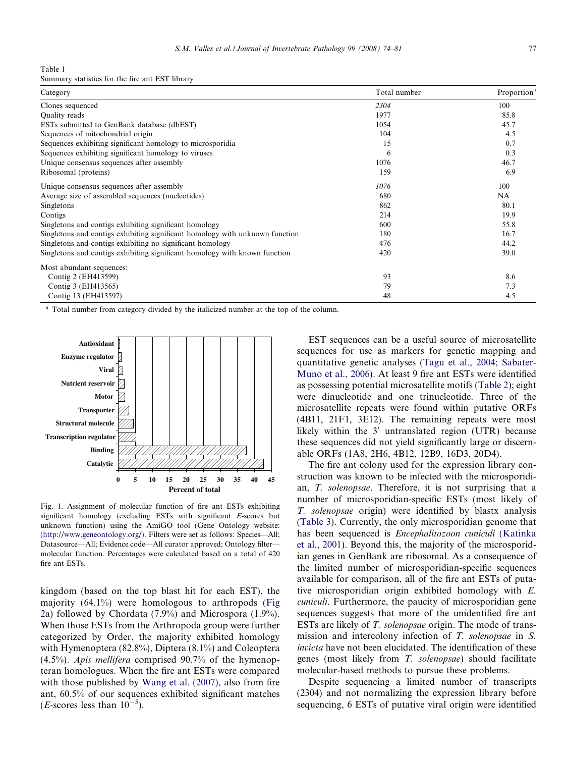<span id="page-3-0"></span>Table 1

Summary statistics for the fire ant EST library

| Category                                                                     | Total number | Proportion <sup>a</sup> |
|------------------------------------------------------------------------------|--------------|-------------------------|
| Clones sequenced                                                             | 2304         | 100                     |
| Quality reads                                                                | 1977         | 85.8                    |
| ESTs submitted to GenBank database (dbEST)                                   | 1054         | 45.7                    |
| Sequences of mitochondrial origin                                            | 104          | 4.5                     |
| Sequences exhibiting significant homology to microsporidia                   | 15           | 0.7                     |
| Sequences exhibiting significant homology to viruses                         | 6            | 0.3                     |
| Unique consensus sequences after assembly                                    | 1076         | 46.7                    |
| Ribosomal (proteins)                                                         | 159          | 6.9                     |
| Unique consensus sequences after assembly                                    | 1076         | 100                     |
| Average size of assembled sequences (nucleotides)                            | 680          | NA                      |
| Singletons                                                                   | 862          | 80.1                    |
| Contigs                                                                      | 214          | 19.9                    |
| Singletons and contigs exhibiting significant homology                       | 600          | 55.8                    |
| Singletons and contigs exhibiting significant homology with unknown function | 180          | 16.7                    |
| Singletons and contigs exhibiting no significant homology                    | 476          | 44.2                    |
| Singletons and contigs exhibiting significant homology with known function   | 420          | 39.0                    |
| Most abundant sequences:                                                     |              |                         |
| Contig 2 (EH413599)                                                          | 93           | 8.6                     |
| Contig 3 (EH413565)                                                          | 79           | 7.3                     |
| Contig 13 (EH413597)                                                         | 48           | 4.5                     |

<sup>a</sup> Total number from category divided by the italicized number at the top of the column.



Fig. 1. Assignment of molecular function of fire ant ESTs exhibiting significant homology (excluding ESTs with significant E-scores but unknown function) using the AmiGO tool (Gene Ontology website: [\(http://www.geneontology.org/\)](http://www.geneontology.org/). Filters were set as follows: Species—All; Datasource—All; Evidence code—All curator approved; Ontology filter molecular function. Percentages were calculated based on a total of 420 fire ant ESTs.

kingdom (based on the top blast hit for each EST), the majority  $(64.1\%)$  were homologous to arthropods [\(Fig](#page-4-0) [2a](#page-4-0)) followed by Chordata (7.9%) and Microspora (1.9%). When those ESTs from the Arthropoda group were further categorized by Order, the majority exhibited homology with Hymenoptera (82.8%), Diptera (8.1%) and Coleoptera (4.5%). Apis mellifera comprised 90.7% of the hymenopteran homologues. When the fire ant ESTs were compared with those published by [Wang et al. \(2007\)](#page-7-0), also from fire ant, 60.5% of our sequences exhibited significant matches (*E*-scores less than  $10^{-5}$ ).

EST sequences can be a useful source of microsatellite sequences for use as markers for genetic mapping and quantitative genetic analyses ([Tagu et al., 2004; Sabater-](#page-6-0)[Muno et al., 2006\)](#page-6-0). At least 9 fire ant ESTs were identified as possessing potential microsatellite motifs ([Table 2](#page-5-0)); eight were dinucleotide and one trinucleotide. Three of the microsatellite repeats were found within putative ORFs (4B11, 21F1, 3E12). The remaining repeats were most likely within the  $3'$  untranslated region (UTR) because these sequences did not yield significantly large or discernable ORFs (1A8, 2H6, 4B12, 12B9, 16D3, 20D4).

The fire ant colony used for the expression library construction was known to be infected with the microsporidian, T. solenopsae. Therefore, it is not surprising that a number of microsporidian-specific ESTs (most likely of T. solenopsae origin) were identified by blastx analysis ([Table 3](#page-5-0)). Currently, the only microsporidian genome that has been sequenced is Encephalitozoon cuniculi [\(Katinka](#page-6-0) [et al., 2001](#page-6-0)). Beyond this, the majority of the microsporidian genes in GenBank are ribosomal. As a consequence of the limited number of microsporidian-specific sequences available for comparison, all of the fire ant ESTs of putative microsporidian origin exhibited homology with E. cuniculi. Furthermore, the paucity of microsporidian gene sequences suggests that more of the unidentified fire ant ESTs are likely of T. solenopsae origin. The mode of transmission and intercolony infection of T. solenopsae in S. invicta have not been elucidated. The identification of these genes (most likely from T. solenopsae) should facilitate molecular-based methods to pursue these problems.

Despite sequencing a limited number of transcripts (2304) and not normalizing the expression library before sequencing, 6 ESTs of putative viral origin were identified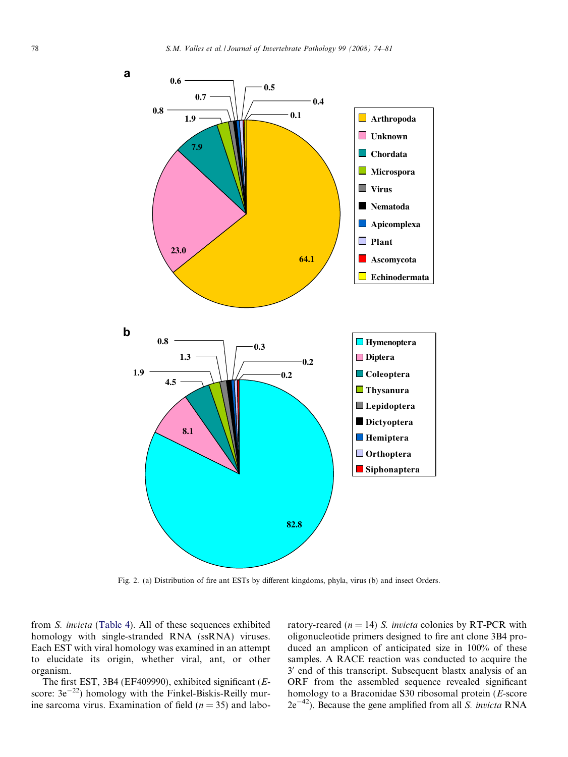<span id="page-4-0"></span>

Fig. 2. (a) Distribution of fire ant ESTs by different kingdoms, phyla, virus (b) and insect Orders.

from S. invicta ([Table 4](#page-5-0)). All of these sequences exhibited homology with single-stranded RNA (ssRNA) viruses. Each EST with viral homology was examined in an attempt to elucidate its origin, whether viral, ant, or other organism.

The first EST, 3B4 (EF409990), exhibited significant (Escore:  $3e^{-22}$ ) homology with the Finkel-Biskis-Reilly murine sarcoma virus. Examination of field ( $n = 35$ ) and laboratory-reared ( $n = 14$ ) S. *invicta* colonies by RT-PCR with oligonucleotide primers designed to fire ant clone 3B4 produced an amplicon of anticipated size in 100% of these samples. A RACE reaction was conducted to acquire the 3' end of this transcript. Subsequent blastx analysis of an ORF from the assembled sequence revealed significant homology to a Braconidae S30 ribosomal protein (E-score  $2e^{-42}$ ). Because the gene amplified from all *S. invicta* RNA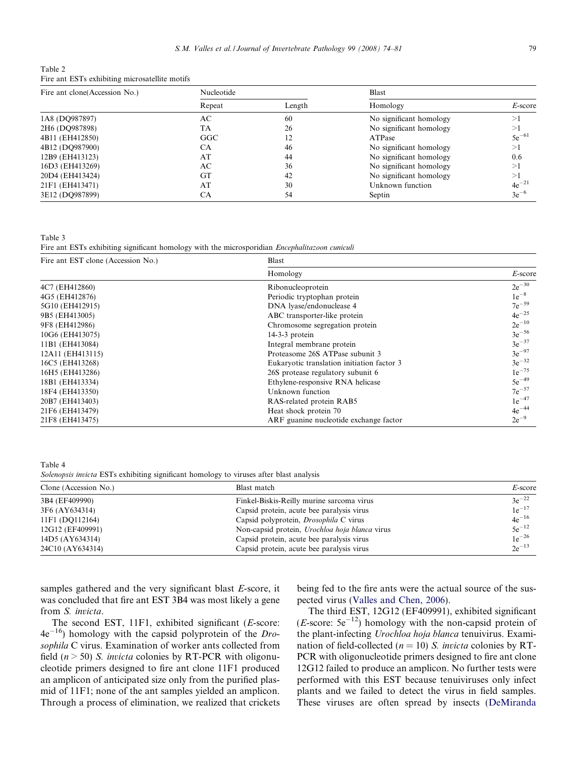<span id="page-5-0"></span>

| Table 2 |                                                |
|---------|------------------------------------------------|
|         | Fire ant ESTs exhibiting microsatellite motifs |

| Fire ant clone(Accession No.) | Nucleotide |        | <b>Blast</b>            |            |
|-------------------------------|------------|--------|-------------------------|------------|
|                               | Repeat     | Length | Homology                | $E$ -score |
| 1A8 (DQ987897)                | AС         | 60     | No significant homology | >1         |
| 2H <sub>6</sub> (DQ987898)    | TA         | 26     | No significant homology | >1         |
| 4B11 (EH412850)               | GGC        |        | ATPase                  | $5e^{-61}$ |
| 4B12 (DO987900)               | СA         | 46     | No significant homology | >1         |
| 12B9 (EH413123)               | AT         | 44     | No significant homology | 0.6        |
| 16D3 (EH413269)               | AС         | 36     | No significant homology | >1         |
| 20D4 (EH413424)               | GT         | 42     | No significant homology | >1         |
| 21F1 (EH413471)               | AT         | 30     | Unknown function        | $4e^{-21}$ |
| 3E12 (DQ987899)               | СA         | 54     | Septin                  | $3e^{-6}$  |

Table 3 Fire ant ESTs exhibiting significant homology with the microsporidian *Encephalitazoon cuniculi* 

| Fire ant EST clone (Accession No.) | Blast                                      |            |  |
|------------------------------------|--------------------------------------------|------------|--|
|                                    | Homology                                   | $E$ -score |  |
| 4C7 (EH412860)                     | Ribonucleoprotein                          | $2e^{-30}$ |  |
| 4G5 (EH412876)                     | Periodic tryptophan protein                | $1e^{-8}$  |  |
| 5G10 (EH412915)                    | DNA lyase/endonuclease 4                   | $7e^{-59}$ |  |
| 9B5 (EH413005)                     | ABC transporter-like protein               | $4e^{-25}$ |  |
| 9F8 (EH412986)                     | Chromosome segregation protein             | $2e^{-10}$ |  |
| 10G6 (EH413075)                    | $14-3-3$ protein                           | $3e^{-56}$ |  |
| 11B1 (EH413084)                    | Integral membrane protein                  | $3e^{-37}$ |  |
| 12A11 (EH413115)                   | Proteasome 26S ATPase subunit 3            | $3e^{-97}$ |  |
| 16C5 (EH413268)                    | Eukaryotic translation initiation factor 3 | $3e^{-32}$ |  |
| 16H5 (EH413286)                    | 26S protease regulatory subunit 6          | $1e^{-75}$ |  |
| 18B1 (EH413334)                    | Ethylene-responsive RNA helicase           | $5e^{-49}$ |  |
| 18F4 (EH413350)                    | Unknown function                           | $7e^{-57}$ |  |
| 20B7 (EH413403)                    | RAS-related protein RAB5                   | $1e^{-47}$ |  |
| 21F6 (EH413479)                    | Heat shock protein 70                      | $4e^{-44}$ |  |
| 21F8 (EH413475)                    | ARF guanine nucleotide exchange factor     | $2e^{-9}$  |  |

Table 4

Solenopsis invicta ESTs exhibiting significant homology to viruses after blast analysis

| Clone (Accession No.)<br>Blast match                   |                                                | $E$ -score |  |
|--------------------------------------------------------|------------------------------------------------|------------|--|
| 3B4 (EF409990)                                         | Finkel-Biskis-Reilly murine sarcoma virus      | $3e^{-22}$ |  |
| 3F6 (AY634314)                                         | Capsid protein, acute bee paralysis virus      | $1e^{-17}$ |  |
| 11F1 (DO112164)                                        | Capsid polyprotein, <i>Drosophila</i> C virus  | $4e^{-16}$ |  |
| 12G12 (EF409991)                                       | Non-capsid protein, Urochloa hoja blanca virus | $5e^{-12}$ |  |
| 14D5 (AY634314)                                        | Capsid protein, acute bee paralysis virus      | $1e^{-26}$ |  |
| 24C <sub>10</sub> (AY <sub>6</sub> 343 <sub>14</sub> ) | Capsid protein, acute bee paralysis virus      | $2e^{-13}$ |  |

samples gathered and the very significant blast E-score, it was concluded that fire ant EST 3B4 was most likely a gene from S. invicta.

The second EST, 11F1, exhibited significant (E-score:  $4e^{-16}$ ) homology with the capsid polyprotein of the *Dro*sophila C virus. Examination of worker ants collected from field ( $n > 50$ ) S. invicta colonies by RT-PCR with oligonucleotide primers designed to fire ant clone 11F1 produced an amplicon of anticipated size only from the purified plasmid of 11F1; none of the ant samples yielded an amplicon. Through a process of elimination, we realized that crickets being fed to the fire ants were the actual source of the suspected virus ([Valles and Chen, 2006\)](#page-6-0).

The third EST, 12G12 (EF409991), exhibited significant (*E*-score:  $5e^{-12}$ ) homology with the non-capsid protein of the plant-infecting Urochloa hoja blanca tenuivirus. Examination of field-collected ( $n = 10$ ) S. *invicta* colonies by RT-PCR with oligonucleotide primers designed to fire ant clone 12G12 failed to produce an amplicon. No further tests were performed with this EST because tenuiviruses only infect plants and we failed to detect the virus in field samples. These viruses are often spread by insects ([DeMiranda](#page-6-0)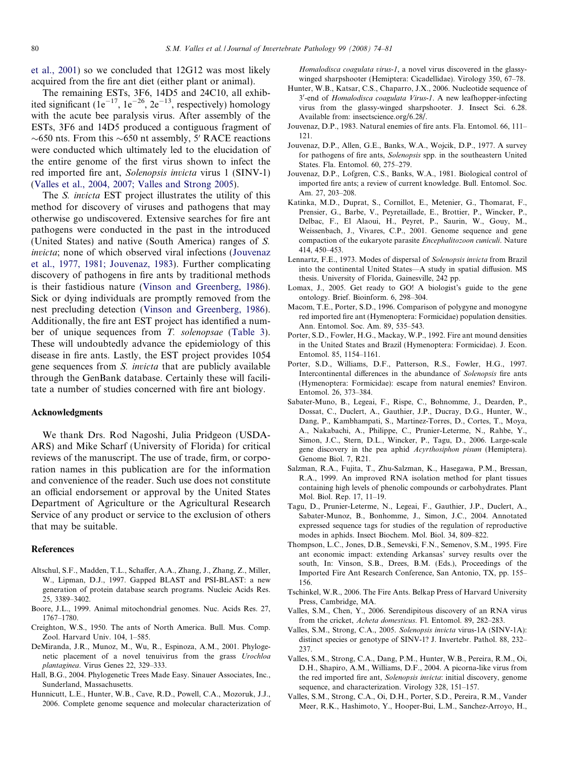<span id="page-6-0"></span>et al., 2001) so we concluded that 12G12 was most likely acquired from the fire ant diet (either plant or animal).

The remaining ESTs, 3F6, 14D5 and 24C10, all exhibited significant  $(1e^{-17}, 1e^{-26}, 2e^{-13},$  respectively) homology with the acute bee paralysis virus. After assembly of the ESTs, 3F6 and 14D5 produced a contiguous fragment of  $\sim$  650 nts. From this  $\sim$  650 nt assembly, 5' RACE reactions were conducted which ultimately led to the elucidation of the entire genome of the first virus shown to infect the red imported fire ant, Solenopsis invicta virus 1 (SINV-1) (Valles et al., 2004, 2007; Valles and Strong 2005).

The S. invicta EST project illustrates the utility of this method for discovery of viruses and pathogens that may otherwise go undiscovered. Extensive searches for fire ant pathogens were conducted in the past in the introduced (United States) and native (South America) ranges of S. invicta; none of which observed viral infections (Jouvenaz et al., 1977, 1981; Jouvenaz, 1983). Further complicating discovery of pathogens in fire ants by traditional methods is their fastidious nature ([Vinson and Greenberg, 1986\)](#page-7-0). Sick or dying individuals are promptly removed from the nest precluding detection [\(Vinson and Greenberg, 1986\)](#page-7-0). Additionally, the fire ant EST project has identified a number of unique sequences from T. solenopsae ([Table 3\)](#page-5-0). These will undoubtedly advance the epidemiology of this disease in fire ants. Lastly, the EST project provides 1054 gene sequences from S. invicta that are publicly available through the GenBank database. Certainly these will facilitate a number of studies concerned with fire ant biology.

#### Acknowledgments

We thank Drs. Rod Nagoshi, Julia Pridgeon (USDA-ARS) and Mike Scharf (University of Florida) for critical reviews of the manuscript. The use of trade, firm, or corporation names in this publication are for the information and convenience of the reader. Such use does not constitute an official endorsement or approval by the United States Department of Agriculture or the Agricultural Research Service of any product or service to the exclusion of others that may be suitable.

#### References

- Altschul, S.F., Madden, T.L., Schaffer, A.A., Zhang, J., Zhang, Z., Miller, W., Lipman, D.J., 1997. Gapped BLAST and PSI-BLAST: a new generation of protein database search programs. Nucleic Acids Res. 25, 3389–3402.
- Boore, J.L., 1999. Animal mitochondrial genomes. Nuc. Acids Res. 27, 1767–1780.
- Creighton, W.S., 1950. The ants of North America. Bull. Mus. Comp. Zool. Harvard Univ. 104, 1–585.
- DeMiranda, J.R., Munoz, M., Wu, R., Espinoza, A.M., 2001. Phylogenetic placement of a novel tenuivirus from the grass Urochloa plantaginea. Virus Genes 22, 329–333.
- Hall, B.G., 2004. Phylogenetic Trees Made Easy. Sinauer Associates, Inc., Sunderland, Massachusetts.
- Hunnicutt, L.E., Hunter, W.B., Cave, R.D., Powell, C.A., Mozoruk, J.J., 2006. Complete genome sequence and molecular characterization of

Homalodisca coagulata virus-1, a novel virus discovered in the glassywinged sharpshooter (Hemiptera: Cicadellidae). Virology 350, 67–78.

- Hunter, W.B., Katsar, C.S., Chaparro, J.X., 2006. Nucleotide sequence of 3'-end of Homalodisca coagulata Virus-1. A new leafhopper-infecting virus from the glassy-winged sharpshooter. J. Insect Sci. 6.28. Available from: insectscience.org/6.28/.
- Jouvenaz, D.P., 1983. Natural enemies of fire ants. Fla. Entomol. 66, 111– 121.
- Jouvenaz, D.P., Allen, G.E., Banks, W.A., Wojcik, D.P., 1977. A survey for pathogens of fire ants, Solenopsis spp. in the southeastern United States. Fla. Entomol. 60, 275–279.
- Jouvenaz, D.P., Lofgren, C.S., Banks, W.A., 1981. Biological control of imported fire ants; a review of current knowledge. Bull. Entomol. Soc. Am. 27, 203–208.
- Katinka, M.D., Duprat, S., Cornillot, E., Metenier, G., Thomarat, F., Prensier, G., Barbe, V., Peyretaillade, E., Brottier, P., Wincker, P., Delbac, F., El Alaoui, H., Peyret, P., Saurin, W., Gouy, M., Weissenbach, J., Vivares, C.P., 2001. Genome sequence and gene compaction of the eukaryote parasite Encephalitozoon cuniculi. Nature 414, 450–453.
- Lennartz, F.E., 1973. Modes of dispersal of Solenopsis invicta from Brazil into the continental United States—A study in spatial diffusion. MS thesis. University of Florida, Gainesville, 242 pp.
- Lomax, J., 2005. Get ready to GO! A biologist's guide to the gene ontology. Brief. Bioinform. 6, 298–304.
- Macom, T.E., Porter, S.D., 1996. Comparison of polygyne and monogyne red imported fire ant (Hymenoptera: Formicidae) population densities. Ann. Entomol. Soc. Am. 89, 535–543.
- Porter, S.D., Fowler, H.G., Mackay, W.P., 1992. Fire ant mound densities in the United States and Brazil (Hymenoptera: Formicidae). J. Econ. Entomol. 85, 1154–1161.
- Porter, S.D., Williams, D.F., Patterson, R.S., Fowler, H.G., 1997. Intercontinental differences in the abundance of Solenopsis fire ants (Hymenoptera: Formicidae): escape from natural enemies? Environ. Entomol. 26, 373–384.
- Sabater-Muno, B., Legeai, F., Rispe, C., Bohnomme, J., Dearden, P., Dossat, C., Duclert, A., Gauthier, J.P., Ducray, D.G., Hunter, W., Dang, P., Kambhampati, S., Martinez-Torres, D., Cortes, T., Moya, A., Nakabachi, A., Philippe, C., Prunier-Leterme, N., Rahbe, Y., Simon, J.C., Stern, D.L., Wincker, P., Tagu, D., 2006. Large-scale gene discovery in the pea aphid Acyrthosiphon pisum (Hemiptera). Genome Biol. 7, R21.
- Salzman, R.A., Fujita, T., Zhu-Salzman, K., Hasegawa, P.M., Bressan, R.A., 1999. An improved RNA isolation method for plant tissues containing high levels of phenolic compounds or carbohydrates. Plant Mol. Biol. Rep. 17, 11–19.
- Tagu, D., Prunier-Leterme, N., Legeai, F., Gauthier, J.P., Duclert, A., Sabater-Munoz, B., Bonhomme, J., Simon, J.C., 2004. Annotated expressed sequence tags for studies of the regulation of reproductive modes in aphids. Insect Biochem. Mol. Biol. 34, 809–822.
- Thompson, L.C., Jones, D.B., Semevski, F.N., Semenov, S.M., 1995. Fire ant economic impact: extending Arkansas' survey results over the south, In: Vinson, S.B., Drees, B.M. (Eds.), Proceedings of the Imported Fire Ant Research Conference, San Antonio, TX, pp. 155– 156.
- Tschinkel, W.R., 2006. The Fire Ants. Belkap Press of Harvard University Press, Cambridge, MA.
- Valles, S.M., Chen, Y., 2006. Serendipitous discovery of an RNA virus from the cricket, Acheta domesticus. Fl. Entomol. 89, 282–283.
- Valles, S.M., Strong, C.A., 2005. Solenopsis invicta virus-1A (SINV-1A): distinct species or genotype of SINV-1? J. Invertebr. Pathol. 88, 232– 237.
- Valles, S.M., Strong, C.A., Dang, P.M., Hunter, W.B., Pereira, R.M., Oi, D.H., Shapiro, A.M., Williams, D.F., 2004. A picorna-like virus from the red imported fire ant, Solenopsis invicta: initial discovery, genome sequence, and characterization. Virology 328, 151–157.
- Valles, S.M., Strong, C.A., Oi, D.H., Porter, S.D., Pereira, R.M., Vander Meer, R.K., Hashimoto, Y., Hooper-Bui, L.M., Sanchez-Arroyo, H.,